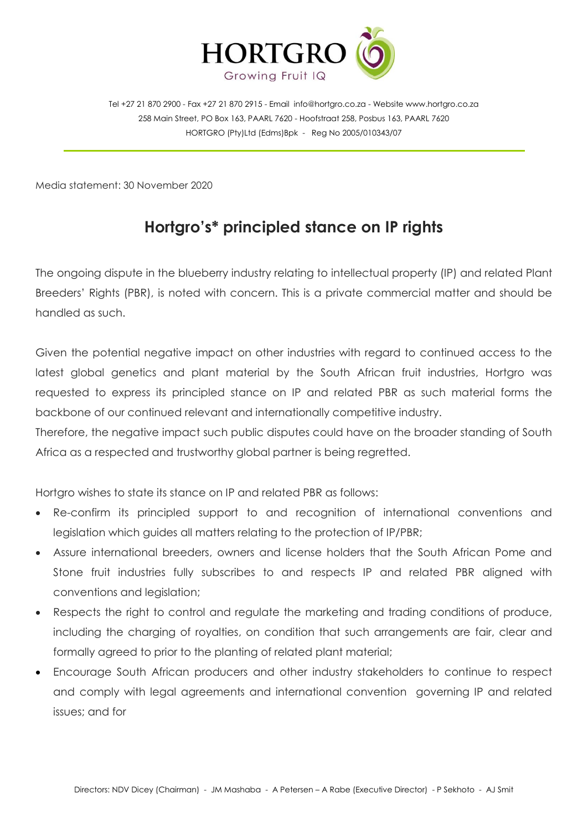

Tel +27 21 870 2900 - Fax +27 21 870 2915 - Email [info@hortgro.co.za](mailto:info@hortgro.co.za) - Website www.hortgro.co.za 258 Main Street, PO Box 163, PAARL 7620 - Hoofstraat 258, Posbus 163, PAARL 7620 HORTGRO (Pty)Ltd (Edms)Bpk - Reg No 2005/010343/07

Media statement: 30 November 2020

## **Hortgro's\* principled stance on IP rights**

The ongoing dispute in the blueberry industry relating to intellectual property (IP) and related Plant Breeders' Rights (PBR), is noted with concern. This is a private commercial matter and should be handled as such.

Given the potential negative impact on other industries with regard to continued access to the latest global genetics and plant material by the South African fruit industries, Hortgro was requested to express its principled stance on IP and related PBR as such material forms the backbone of our continued relevant and internationally competitive industry.

Therefore, the negative impact such public disputes could have on the broader standing of South Africa as a respected and trustworthy global partner is being regretted.

Hortgro wishes to state its stance on IP and related PBR as follows:

- Re-confirm its principled support to and recognition of international conventions and legislation which guides all matters relating to the protection of IP/PBR;
- Assure international breeders, owners and license holders that the South African Pome and Stone fruit industries fully subscribes to and respects IP and related PBR aligned with conventions and legislation;
- Respects the right to control and regulate the marketing and trading conditions of produce, including the charging of royalties, on condition that such arrangements are fair, clear and formally agreed to prior to the planting of related plant material;
- Encourage South African producers and other industry stakeholders to continue to respect and comply with legal agreements and international convention governing IP and related issues; and for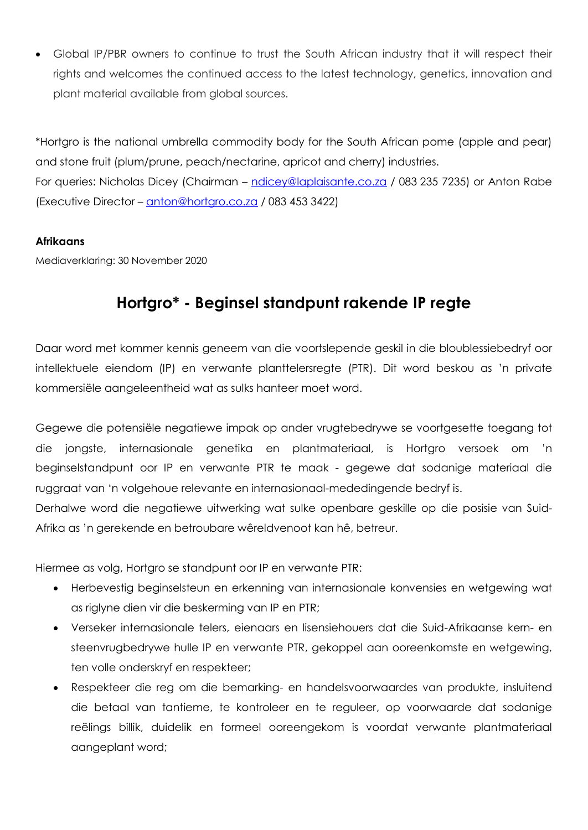Global IP/PBR owners to continue to trust the South African industry that it will respect their rights and welcomes the continued access to the latest technology, genetics, innovation and plant material available from global sources.

\*Hortgro is the national umbrella commodity body for the South African pome (apple and pear) and stone fruit (plum/prune, peach/nectarine, apricot and cherry) industries. For queries: Nicholas Dicey (Chairman – [ndicey@laplaisante.co.za](mailto:ndicey@laplaisante.co.za) / 083 235 7235) or Anton Rabe (Executive Director – [anton@hortgro.co.za](mailto:anton@hortgro.co.za) / 083 453 3422)

## **Afrikaans**

Mediaverklaring: 30 November 2020

## **Hortgro\* - Beginsel standpunt rakende IP regte**

Daar word met kommer kennis geneem van die voortslepende geskil in die bloublessiebedryf oor intellektuele eiendom (IP) en verwante planttelersregte (PTR). Dit word beskou as 'n private kommersiële aangeleentheid wat as sulks hanteer moet word.

Gegewe die potensiële negatiewe impak op ander vrugtebedrywe se voortgesette toegang tot die jongste, internasionale genetika en plantmateriaal, is Hortgro versoek om 'n beginselstandpunt oor IP en verwante PTR te maak - gegewe dat sodanige materiaal die ruggraat van 'n volgehoue relevante en internasionaal-mededingende bedryf is.

Derhalwe word die negatiewe uitwerking wat sulke openbare geskille op die posisie van Suid-Afrika as 'n gerekende en betroubare wêreldvenoot kan hê, betreur.

Hiermee as volg, Hortgro se standpunt oor IP en verwante PTR:

- Herbevestig beginselsteun en erkenning van internasionale konvensies en wetgewing wat as riglyne dien vir die beskerming van IP en PTR;
- Verseker internasionale telers, eienaars en lisensiehouers dat die Suid-Afrikaanse kern- en steenvrugbedrywe hulle IP en verwante PTR, gekoppel aan ooreenkomste en wetgewing, ten volle onderskryf en respekteer;
- Respekteer die reg om die bemarking- en handelsvoorwaardes van produkte, insluitend die betaal van tantieme, te kontroleer en te reguleer, op voorwaarde dat sodanige reëlings billik, duidelik en formeel ooreengekom is voordat verwante plantmateriaal aangeplant word;